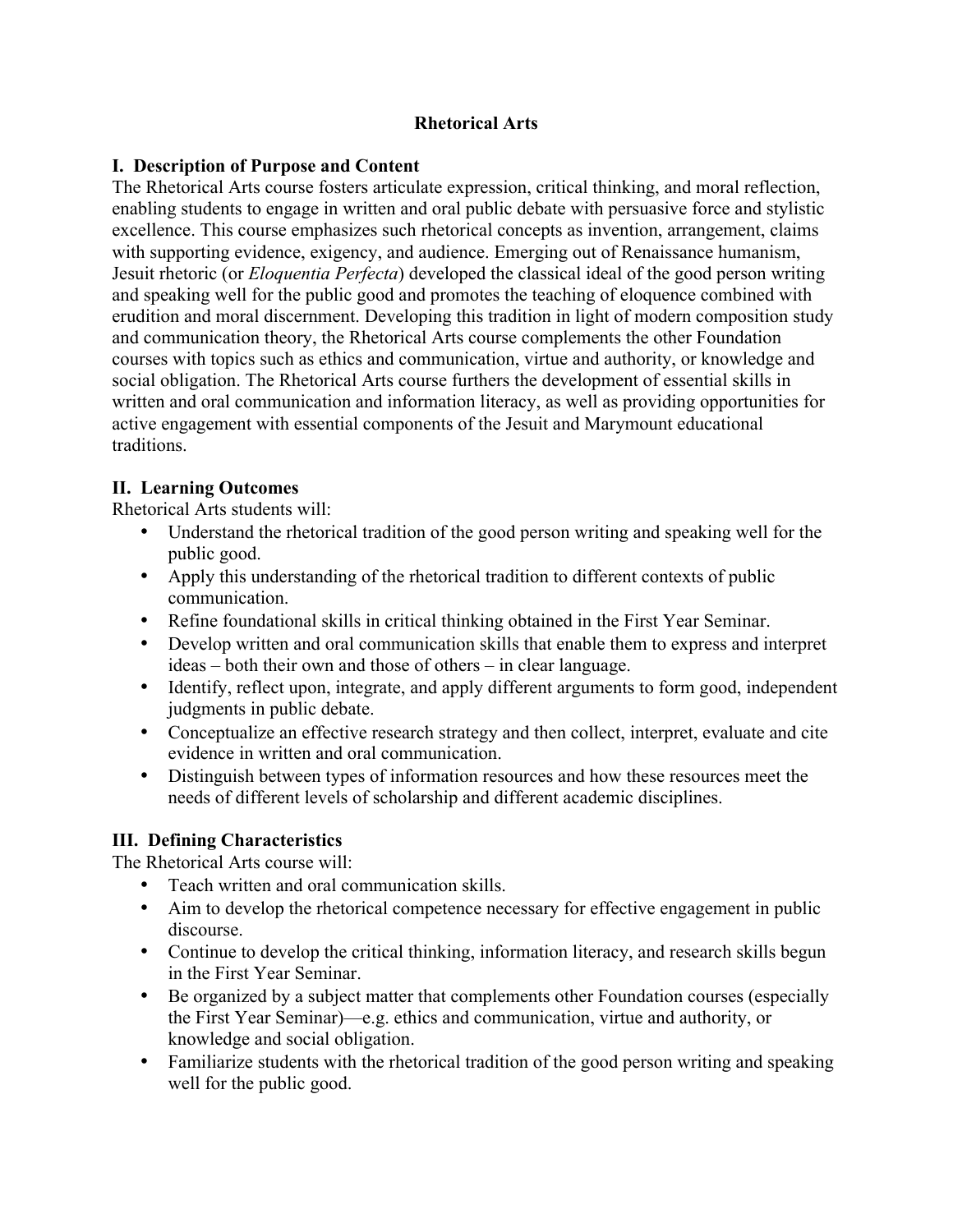## **Rhetorical Arts**

## **I. Description of Purpose and Content**

The Rhetorical Arts course fosters articulate expression, critical thinking, and moral reflection, enabling students to engage in written and oral public debate with persuasive force and stylistic excellence. This course emphasizes such rhetorical concepts as invention, arrangement, claims with supporting evidence, exigency, and audience. Emerging out of Renaissance humanism, Jesuit rhetoric (or *Eloquentia Perfecta*) developed the classical ideal of the good person writing and speaking well for the public good and promotes the teaching of eloquence combined with erudition and moral discernment. Developing this tradition in light of modern composition study and communication theory, the Rhetorical Arts course complements the other Foundation courses with topics such as ethics and communication, virtue and authority, or knowledge and social obligation. The Rhetorical Arts course furthers the development of essential skills in written and oral communication and information literacy, as well as providing opportunities for active engagement with essential components of the Jesuit and Marymount educational traditions.

## **II. Learning Outcomes**

Rhetorical Arts students will:

- Understand the rhetorical tradition of the good person writing and speaking well for the public good.
- Apply this understanding of the rhetorical tradition to different contexts of public communication.
- Refine foundational skills in critical thinking obtained in the First Year Seminar.
- Develop written and oral communication skills that enable them to express and interpret ideas – both their own and those of others – in clear language.
- Identify, reflect upon, integrate, and apply different arguments to form good, independent judgments in public debate.
- Conceptualize an effective research strategy and then collect, interpret, evaluate and cite evidence in written and oral communication.
- Distinguish between types of information resources and how these resources meet the needs of different levels of scholarship and different academic disciplines.

## **III. Defining Characteristics**

The Rhetorical Arts course will:

- Teach written and oral communication skills.
- Aim to develop the rhetorical competence necessary for effective engagement in public discourse.
- Continue to develop the critical thinking, information literacy, and research skills begun in the First Year Seminar.
- Be organized by a subject matter that complements other Foundation courses (especially the First Year Seminar)—e.g. ethics and communication, virtue and authority, or knowledge and social obligation.
- Familiarize students with the rhetorical tradition of the good person writing and speaking well for the public good.